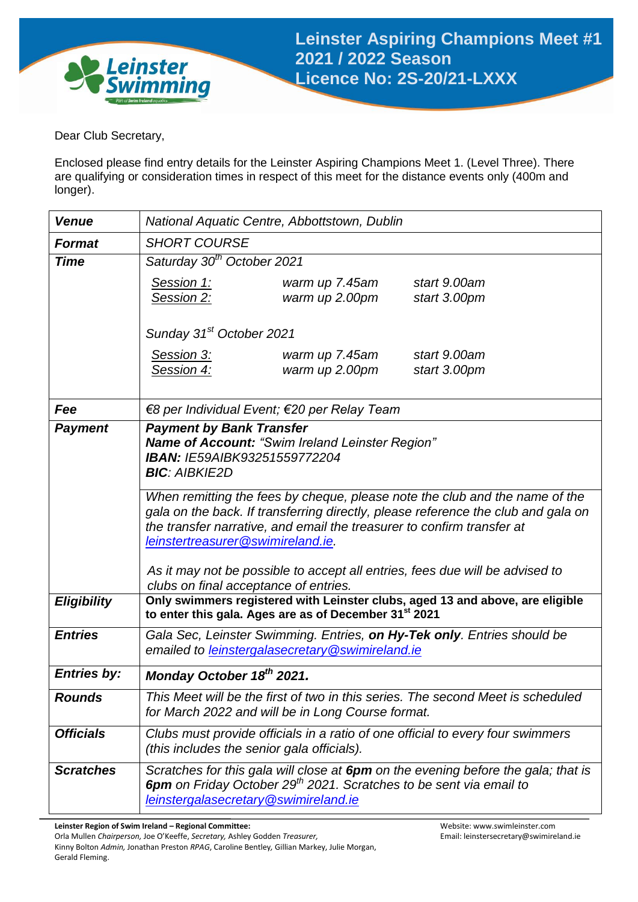

Dear Club Secretary,

Enclosed please find entry details for the Leinster Aspiring Champions Meet 1. (Level Three). There are qualifying or consideration times in respect of this meet for the distance events only (400m and longer).

| <b>Venue</b>       | National Aquatic Centre, Abbottstown, Dublin                                                                                                                                                                                                                                                                                                                                                                                                                                                                         |  |  |  |  |
|--------------------|----------------------------------------------------------------------------------------------------------------------------------------------------------------------------------------------------------------------------------------------------------------------------------------------------------------------------------------------------------------------------------------------------------------------------------------------------------------------------------------------------------------------|--|--|--|--|
| <b>Format</b>      | <b>SHORT COURSE</b>                                                                                                                                                                                                                                                                                                                                                                                                                                                                                                  |  |  |  |  |
| <b>Time</b>        | Saturday 30 <sup>th</sup> October 2021                                                                                                                                                                                                                                                                                                                                                                                                                                                                               |  |  |  |  |
|                    | Session 1:<br>warm up 7.45am<br>start 9.00am<br>Session 2:<br>warm up 2.00pm<br>start 3.00pm                                                                                                                                                                                                                                                                                                                                                                                                                         |  |  |  |  |
|                    | Sunday 31 <sup>st</sup> October 2021                                                                                                                                                                                                                                                                                                                                                                                                                                                                                 |  |  |  |  |
|                    | Session 3:<br>start 9.00am<br>warm up 7.45am<br>warm up 2.00pm<br>Session 4:<br>start 3.00pm                                                                                                                                                                                                                                                                                                                                                                                                                         |  |  |  |  |
| Fee                | €8 per Individual Event; €20 per Relay Team                                                                                                                                                                                                                                                                                                                                                                                                                                                                          |  |  |  |  |
| <b>Payment</b>     | <b>Payment by Bank Transfer</b><br><b>Name of Account: "Swim Ireland Leinster Region"</b><br>IBAN: IE59AIBK93251559772204<br><b>BIC: AIBKIE2D</b><br>When remitting the fees by cheque, please note the club and the name of the<br>gala on the back. If transferring directly, please reference the club and gala on<br>the transfer narrative, and email the treasurer to confirm transfer at<br>leinstertreasurer@swimireland.ie.<br>As it may not be possible to accept all entries, fees due will be advised to |  |  |  |  |
|                    | clubs on final acceptance of entries.                                                                                                                                                                                                                                                                                                                                                                                                                                                                                |  |  |  |  |
| <b>Eligibility</b> | Only swimmers registered with Leinster clubs, aged 13 and above, are eligible<br>to enter this gala. Ages are as of December 31 <sup>st</sup> 2021                                                                                                                                                                                                                                                                                                                                                                   |  |  |  |  |
| <b>Entries</b>     | Gala Sec, Leinster Swimming. Entries, on Hy-Tek only. Entries should be<br>emailed to leinstergalasecretary@swimireland.ie                                                                                                                                                                                                                                                                                                                                                                                           |  |  |  |  |
| <b>Entries by:</b> | Monday October 18 <sup>th</sup> 2021.                                                                                                                                                                                                                                                                                                                                                                                                                                                                                |  |  |  |  |
| <b>Rounds</b>      | This Meet will be the first of two in this series. The second Meet is scheduled<br>for March 2022 and will be in Long Course format.                                                                                                                                                                                                                                                                                                                                                                                 |  |  |  |  |
| <b>Officials</b>   | Clubs must provide officials in a ratio of one official to every four swimmers<br>(this includes the senior gala officials).                                                                                                                                                                                                                                                                                                                                                                                         |  |  |  |  |
| <b>Scratches</b>   | Scratches for this gala will close at 6pm on the evening before the gala; that is<br><b>6pm</b> on Friday October 29 <sup>th</sup> 2021. Scratches to be sent via email to<br>leinstergalasecretary@swimireland.ie                                                                                                                                                                                                                                                                                                   |  |  |  |  |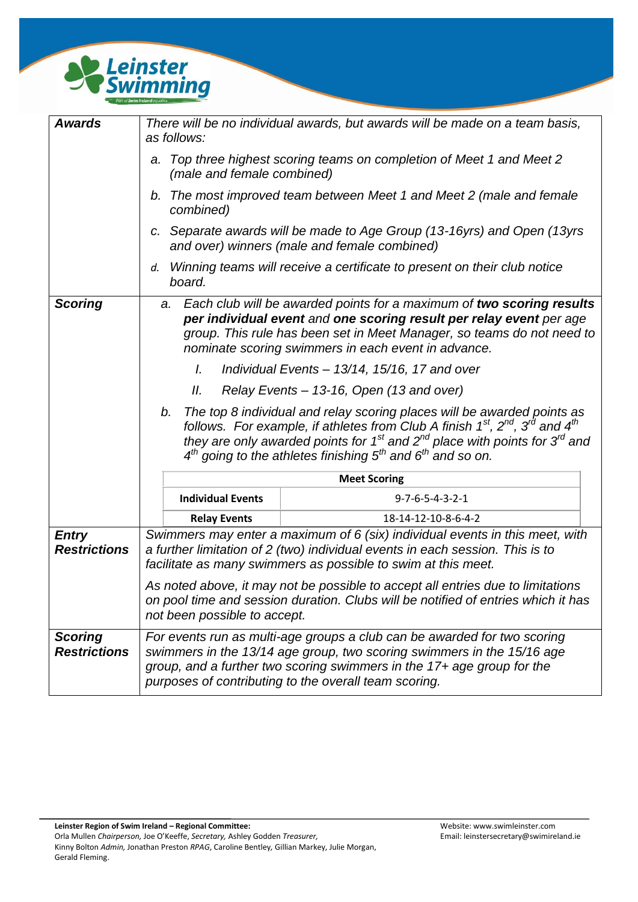

| <b>Awards</b>                         | There will be no individual awards, but awards will be made on a team basis,<br>as follows:                                                                                                                                                                                                                                                                                      |  |  |  |  |
|---------------------------------------|----------------------------------------------------------------------------------------------------------------------------------------------------------------------------------------------------------------------------------------------------------------------------------------------------------------------------------------------------------------------------------|--|--|--|--|
|                                       | Top three highest scoring teams on completion of Meet 1 and Meet 2<br>a.<br>(male and female combined)                                                                                                                                                                                                                                                                           |  |  |  |  |
|                                       | The most improved team between Meet 1 and Meet 2 (male and female<br>b.<br>combined)                                                                                                                                                                                                                                                                                             |  |  |  |  |
|                                       | c. Separate awards will be made to Age Group (13-16yrs) and Open (13yrs<br>and over) winners (male and female combined)                                                                                                                                                                                                                                                          |  |  |  |  |
|                                       | Winning teams will receive a certificate to present on their club notice<br>d.<br>board.                                                                                                                                                                                                                                                                                         |  |  |  |  |
| <b>Scoring</b>                        | Each club will be awarded points for a maximum of two scoring results<br>a.<br>per individual event and one scoring result per relay event per age<br>group. This rule has been set in Meet Manager, so teams do not need to<br>nominate scoring swimmers in each event in advance.                                                                                              |  |  |  |  |
|                                       | I.<br>Individual Events - 13/14, 15/16, 17 and over                                                                                                                                                                                                                                                                                                                              |  |  |  |  |
|                                       | Relay Events - 13-16, Open (13 and over)<br>Ш.                                                                                                                                                                                                                                                                                                                                   |  |  |  |  |
|                                       | The top 8 individual and relay scoring places will be awarded points as<br>b.<br>follows. For example, if athletes from Club A finish $1^{st}$ , $2^{nd}$ , $3^{rd}$ and $4^{th}$<br>they are only awarded points for 1 <sup>st</sup> and 2 <sup>nd</sup> place with points for 3 <sup>rd</sup> and<br>$4^{th}$ going to the athletes finishing $5^{th}$ and $6^{th}$ and so on. |  |  |  |  |
|                                       | <b>Meet Scoring</b>                                                                                                                                                                                                                                                                                                                                                              |  |  |  |  |
|                                       | <b>Individual Events</b><br>$9 - 7 - 6 - 5 - 4 - 3 - 2 - 1$                                                                                                                                                                                                                                                                                                                      |  |  |  |  |
|                                       | <b>Relay Events</b><br>18-14-12-10-8-6-4-2                                                                                                                                                                                                                                                                                                                                       |  |  |  |  |
| <b>Entry</b><br><b>Restrictions</b>   | Swimmers may enter a maximum of 6 (six) individual events in this meet, with<br>a further limitation of 2 (two) individual events in each session. This is to<br>facilitate as many swimmers as possible to swim at this meet.                                                                                                                                                   |  |  |  |  |
|                                       | As noted above, it may not be possible to accept all entries due to limitations<br>on pool time and session duration. Clubs will be notified of entries which it has<br>not been possible to accept.                                                                                                                                                                             |  |  |  |  |
| <b>Scoring</b><br><b>Restrictions</b> | For events run as multi-age groups a club can be awarded for two scoring<br>swimmers in the 13/14 age group, two scoring swimmers in the 15/16 age<br>group, and a further two scoring swimmers in the 17+ age group for the<br>purposes of contributing to the overall team scoring.                                                                                            |  |  |  |  |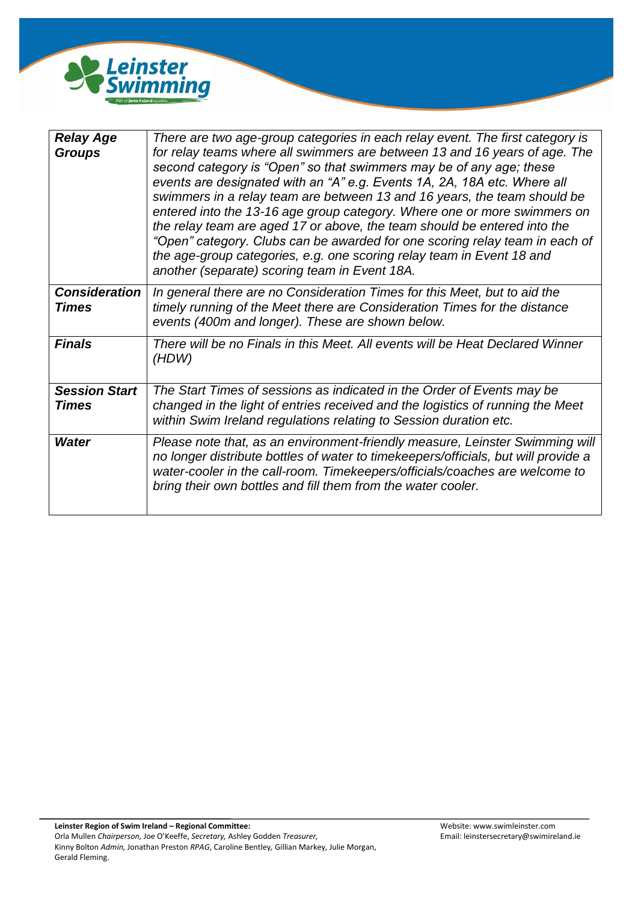

| <b>Relay Age</b><br><b>Groups</b>    | There are two age-group categories in each relay event. The first category is<br>for relay teams where all swimmers are between 13 and 16 years of age. The<br>second category is "Open" so that swimmers may be of any age; these<br>events are designated with an "A" e.g. Events 1A, 2A, 18A etc. Where all<br>swimmers in a relay team are between 13 and 16 years, the team should be<br>entered into the 13-16 age group category. Where one or more swimmers on<br>the relay team are aged 17 or above, the team should be entered into the<br>"Open" category. Clubs can be awarded for one scoring relay team in each of<br>the age-group categories, e.g. one scoring relay team in Event 18 and<br>another (separate) scoring team in Event 18A. |
|--------------------------------------|-------------------------------------------------------------------------------------------------------------------------------------------------------------------------------------------------------------------------------------------------------------------------------------------------------------------------------------------------------------------------------------------------------------------------------------------------------------------------------------------------------------------------------------------------------------------------------------------------------------------------------------------------------------------------------------------------------------------------------------------------------------|
| <b>Consideration</b><br><b>Times</b> | In general there are no Consideration Times for this Meet, but to aid the<br>timely running of the Meet there are Consideration Times for the distance<br>events (400m and longer). These are shown below.                                                                                                                                                                                                                                                                                                                                                                                                                                                                                                                                                  |
| <b>Finals</b>                        | There will be no Finals in this Meet. All events will be Heat Declared Winner<br>(HDW)                                                                                                                                                                                                                                                                                                                                                                                                                                                                                                                                                                                                                                                                      |
| <b>Session Start</b><br><b>Times</b> | The Start Times of sessions as indicated in the Order of Events may be<br>changed in the light of entries received and the logistics of running the Meet<br>within Swim Ireland regulations relating to Session duration etc.                                                                                                                                                                                                                                                                                                                                                                                                                                                                                                                               |
| <b>Water</b>                         | Please note that, as an environment-friendly measure, Leinster Swimming will<br>no longer distribute bottles of water to timekeepers/officials, but will provide a<br>water-cooler in the call-room. Timekeepers/officials/coaches are welcome to<br>bring their own bottles and fill them from the water cooler.                                                                                                                                                                                                                                                                                                                                                                                                                                           |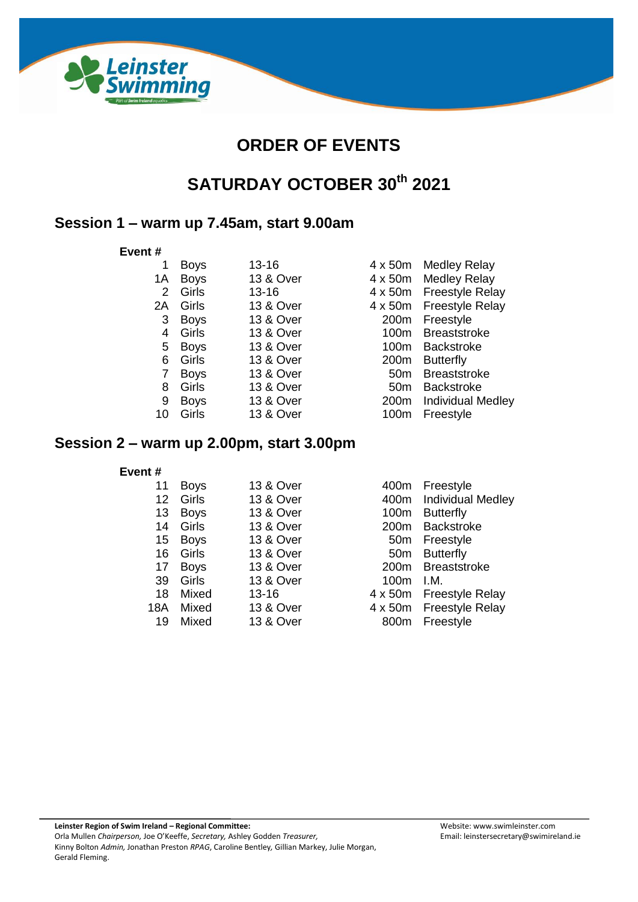

# **ORDER OF EVENTS**

# **SATURDAY OCTOBER 30th 2021**

## **Session 1 – warm up 7.45am, start 9.00am**

#### **Event #**

| 1  | <b>Boys</b> | $13 - 16$ | $4 \times 50m$   | <b>Medley Relay</b>      |
|----|-------------|-----------|------------------|--------------------------|
| 1A | <b>Boys</b> | 13 & Over | 4 x 50m          | <b>Medley Relay</b>      |
| 2  | Girls       | $13 - 16$ | $4 \times 50m$   | <b>Freestyle Relay</b>   |
| 2A | Girls       | 13 & Over | 4 x 50m          | <b>Freestyle Relay</b>   |
| 3  | <b>Boys</b> | 13 & Over | 200 <sub>m</sub> | Freestyle                |
| 4  | Girls       | 13 & Over | 100m             | <b>Breaststroke</b>      |
| 5  | <b>Boys</b> | 13 & Over | 100m             | <b>Backstroke</b>        |
| 6  | Girls       | 13 & Over | 200 <sub>m</sub> | <b>Butterfly</b>         |
|    | <b>Boys</b> | 13 & Over | 50 <sub>m</sub>  | <b>Breaststroke</b>      |
| 8  | Girls       | 13 & Over | 50 <sub>m</sub>  | <b>Backstroke</b>        |
| 9  | <b>Boys</b> | 13 & Over | 200 <sub>m</sub> | <b>Individual Medley</b> |
| 10 | Girls       | 13 & Over | 100m             | Freestyle                |
|    |             |           |                  |                          |

## **Session 2 – warm up 2.00pm, start 3.00pm**

#### **Event #**

| 11              | <b>Boys</b> | 13 & Over            | 400m             | Freestyle               |
|-----------------|-------------|----------------------|------------------|-------------------------|
| 12 <sub>2</sub> | Girls       | 13 & Over            |                  | 400m Individual Medley  |
| 13              | <b>Boys</b> | 13 & Over            | 100m             | <b>Butterfly</b>        |
| 14              | Girls       | <b>13 &amp; Over</b> | 200 <sub>m</sub> | <b>Backstroke</b>       |
| 15              | <b>Boys</b> | 13 & Over            | 50 <sub>m</sub>  | Freestyle               |
| 16              | Girls       | <b>13 &amp; Over</b> | 50 <sub>m</sub>  | <b>Butterfly</b>        |
| 17              | <b>Boys</b> | 13 & Over            | 200 <sub>m</sub> | Breaststroke            |
| 39              | Girls       | 13 & Over            | 100m             | I.M.                    |
| 18              | Mixed       | $13 - 16$            |                  | 4 x 50m Freestyle Relay |
| 18A             | Mixed       | 13 & Over            |                  | 4 x 50m Freestyle Relay |
| 19              | Mixed       | 13 & Over            | 800m             | Freestyle               |
|                 |             |                      |                  |                         |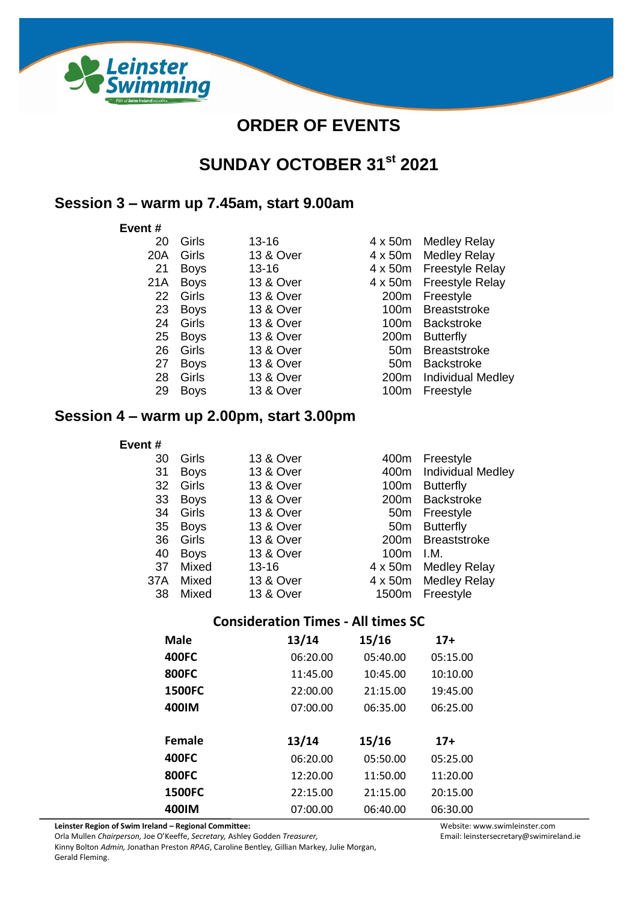

# **ORDER OF EVENTS**

# **SUNDAY OCTOBER 31st 2021**

### **Session 3 – warm up 7.45am, start 9.00am**

#### **Event #**

| 20  | Girls       | $13 - 16$            | 4 x 50r        |
|-----|-------------|----------------------|----------------|
| 20A | Girls       | 13 & Over            | $4 \times 50r$ |
| 21  | <b>Boys</b> | $13 - 16$            | $4 \times 50r$ |
| 21A | <b>Boys</b> | 13 & Over            | $4 \times 50r$ |
| 22  | Girls       | 13 & Over            | 200r           |
| 23  | <b>Boys</b> | <b>13 &amp; Over</b> | 100r           |
| 24  | Girls       | <b>13 &amp; Over</b> | 100r           |
| 25  | <b>Boys</b> | <b>13 &amp; Over</b> | 200r           |
| 26  | Girls       | 13 & Over            | 50r            |
| 27  | <b>Boys</b> | 13 & Over            | 50r            |
| 28  | Girls       | 13 & Over            | 200r           |
| 29  | <b>Boys</b> | 13 & Over            | 100r           |
|     |             |                      |                |

m Medley Relay m Medley Relay m Freestyle Relay m Freestyle Relay m Freestyle m Breaststroke m Backstroke m Butterfly m Breaststroke m Backstroke m Individual Medley m Freestyle

### **Session 4 – warm up 2.00pm, start 3.00pm**

#### **Event #**

| 30              | Girls       | 13 & Over | 400m             | Freestyle                |
|-----------------|-------------|-----------|------------------|--------------------------|
| 31              | <b>Boys</b> | 13 & Over | 400m             | <b>Individual Medley</b> |
| 32 <sup>2</sup> | Girls       | 13 & Over | 100m             | <b>Butterfly</b>         |
| 33              | <b>Boys</b> | 13 & Over | 200 <sub>m</sub> | <b>Backstroke</b>        |
| 34              | Girls       | 13 & Over | 50 <sub>m</sub>  | Freestyle                |
| 35              | <b>Boys</b> | 13 & Over | 50 <sub>m</sub>  | <b>Butterfly</b>         |
| 36              | Girls       | 13 & Over | 200 <sub>m</sub> | <b>Breaststroke</b>      |
| 40              | <b>Boys</b> | 13 & Over | 100m             | 1.M.                     |
| 37              | Mixed       | $13 - 16$ | 4 x 50m          | <b>Medley Relay</b>      |
| 37A             | Mixed       | 13 & Over | 4 x 50m          | <b>Medley Relay</b>      |
| 38              | Mixed       | 13 & Over | 1500m            | Freestyle                |
|                 |             |           |                  |                          |

### **Consideration Times - All times SC**

| Male          | 13/14    | 15/16    | $17+$    |
|---------------|----------|----------|----------|
| 400FC         | 06:20.00 | 05:40.00 | 05:15.00 |
| 800FC         | 11:45.00 | 10:45.00 | 10:10.00 |
| <b>1500FC</b> | 22:00.00 | 21:15.00 | 19:45.00 |
| 400IM         | 07:00.00 | 06:35.00 | 06:25.00 |
|               |          |          |          |
| <b>Female</b> | 13/14    | 15/16    | $17+$    |
| 400FC         | 06:20.00 | 05:50.00 | 05:25.00 |
| 800FC         | 12:20.00 | 11:50.00 | 11:20.00 |
| <b>1500FC</b> | 22:15.00 | 21:15.00 | 20:15.00 |
| 400IM         |          |          |          |

**Leinster Region of Swim Ireland – Regional Committee:**

Orla Mullen *Chairperson,* Joe O'Keeffe, *Secretary,* Ashley Godden *Treasurer,*

Kinny Bolton *Admin,* Jonathan Preston *RPAG*, Caroline Bentley*,* Gillian Markey, Julie Morgan, Gerald Fleming.

Website: www.swimleinster.com Email: leinstersecretary@swimireland.ie